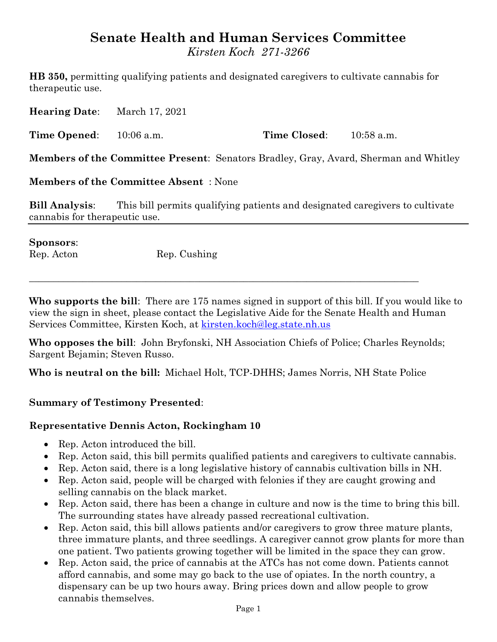# **Senate Health and Human Services Committee**

*Kirsten Koch 271-3266*

**HB 350,** permitting qualifying patients and designated caregivers to cultivate cannabis for therapeutic use.

**Hearing Date**: March 17, 2021

**Time Opened:** 10:06 a.m. **Time Closed:** 10:58 a.m.

**Members of the Committee Present**: Senators Bradley, Gray, Avard, Sherman and Whitley

**Members of the Committee Absent** : None

**Bill Analysis**: This bill permits qualifying patients and designated caregivers to cultivate cannabis for therapeutic use.

#### **Sponsors**:

Rep. Acton Rep. Cushing

**Who supports the bill**: There are 175 names signed in support of this bill. If you would like to view the sign in sheet, please contact the Legislative Aide for the Senate Health and Human Services Committee, Kirsten Koch, at [kirsten.koch@leg.state.nh.us](mailto:kirsten.koch@leg.state.nh.us)

**Who opposes the bill**: John Bryfonski, NH Association Chiefs of Police; Charles Reynolds; Sargent Bejamin; Steven Russo.

**Who is neutral on the bill:** Michael Holt, TCP-DHHS; James Norris, NH State Police

 $\_$  , and the set of the set of the set of the set of the set of the set of the set of the set of the set of the set of the set of the set of the set of the set of the set of the set of the set of the set of the set of th

#### **Summary of Testimony Presented**:

#### **Representative Dennis Acton, Rockingham 10**

- Rep. Acton introduced the bill.
- Rep. Acton said, this bill permits qualified patients and caregivers to cultivate cannabis.
- Rep. Acton said, there is a long legislative history of cannabis cultivation bills in NH.
- Rep. Acton said, people will be charged with felonies if they are caught growing and selling cannabis on the black market.
- Rep. Acton said, there has been a change in culture and now is the time to bring this bill. The surrounding states have already passed recreational cultivation.
- Rep. Acton said, this bill allows patients and/or caregivers to grow three mature plants, three immature plants, and three seedlings. A caregiver cannot grow plants for more than one patient. Two patients growing together will be limited in the space they can grow.
- Rep. Acton said, the price of cannabis at the ATCs has not come down. Patients cannot afford cannabis, and some may go back to the use of opiates. In the north country, a dispensary can be up two hours away. Bring prices down and allow people to grow cannabis themselves.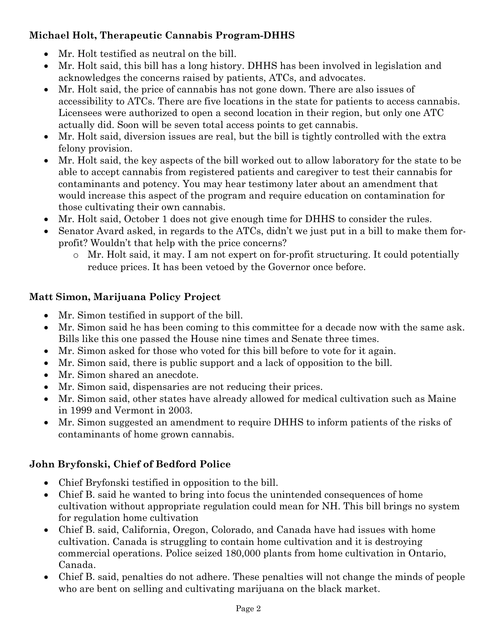# **Michael Holt, Therapeutic Cannabis Program-DHHS**

- Mr. Holt testified as neutral on the bill.
- Mr. Holt said, this bill has a long history. DHHS has been involved in legislation and acknowledges the concerns raised by patients, ATCs, and advocates.
- Mr. Holt said, the price of cannabis has not gone down. There are also issues of accessibility to ATCs. There are five locations in the state for patients to access cannabis. Licensees were authorized to open a second location in their region, but only one ATC actually did. Soon will be seven total access points to get cannabis.
- Mr. Holt said, diversion issues are real, but the bill is tightly controlled with the extra felony provision.
- Mr. Holt said, the key aspects of the bill worked out to allow laboratory for the state to be able to accept cannabis from registered patients and caregiver to test their cannabis for contaminants and potency. You may hear testimony later about an amendment that would increase this aspect of the program and require education on contamination for those cultivating their own cannabis.
- Mr. Holt said, October 1 does not give enough time for DHHS to consider the rules.
- Senator Avard asked, in regards to the ATCs, didn't we just put in a bill to make them forprofit? Wouldn't that help with the price concerns?
	- o Mr. Holt said, it may. I am not expert on for-profit structuring. It could potentially reduce prices. It has been vetoed by the Governor once before.

# **Matt Simon, Marijuana Policy Project**

- Mr. Simon testified in support of the bill.
- Mr. Simon said he has been coming to this committee for a decade now with the same ask. Bills like this one passed the House nine times and Senate three times.
- Mr. Simon asked for those who voted for this bill before to vote for it again.
- Mr. Simon said, there is public support and a lack of opposition to the bill.
- Mr. Simon shared an anecdote.
- Mr. Simon said, dispensaries are not reducing their prices.
- Mr. Simon said, other states have already allowed for medical cultivation such as Maine in 1999 and Vermont in 2003.
- Mr. Simon suggested an amendment to require DHHS to inform patients of the risks of contaminants of home grown cannabis.

## **John Bryfonski, Chief of Bedford Police**

- Chief Bryfonski testified in opposition to the bill.
- Chief B. said he wanted to bring into focus the unintended consequences of home cultivation without appropriate regulation could mean for NH. This bill brings no system for regulation home cultivation
- Chief B. said, California, Oregon, Colorado, and Canada have had issues with home cultivation. Canada is struggling to contain home cultivation and it is destroying commercial operations. Police seized 180,000 plants from home cultivation in Ontario, Canada.
- Chief B. said, penalties do not adhere. These penalties will not change the minds of people who are bent on selling and cultivating marijuana on the black market.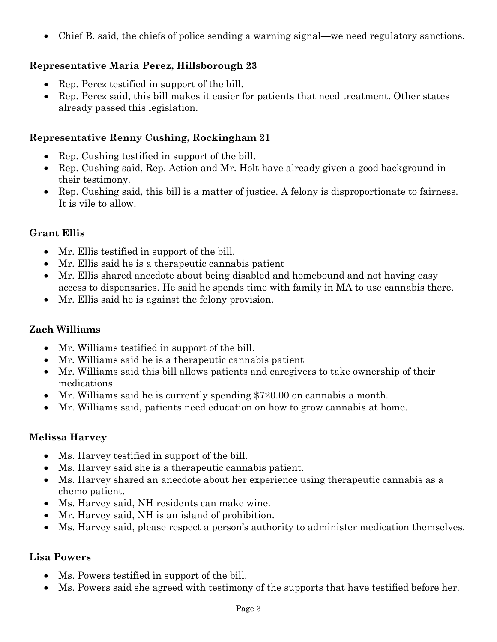Chief B. said, the chiefs of police sending a warning signal—we need regulatory sanctions.

## **Representative Maria Perez, Hillsborough 23**

- Rep. Perez testified in support of the bill.
- Rep. Perez said, this bill makes it easier for patients that need treatment. Other states already passed this legislation.

#### **Representative Renny Cushing, Rockingham 21**

- Rep. Cushing testified in support of the bill.
- Rep. Cushing said, Rep. Action and Mr. Holt have already given a good background in their testimony.
- Rep. Cushing said, this bill is a matter of justice. A felony is disproportionate to fairness. It is vile to allow.

#### **Grant Ellis**

- Mr. Ellis testified in support of the bill.
- Mr. Ellis said he is a therapeutic cannabis patient
- Mr. Ellis shared anecdote about being disabled and homebound and not having easy access to dispensaries. He said he spends time with family in MA to use cannabis there.
- Mr. Ellis said he is against the felony provision.

#### **Zach Williams**

- Mr. Williams testified in support of the bill.
- Mr. Williams said he is a therapeutic cannabis patient
- Mr. Williams said this bill allows patients and caregivers to take ownership of their medications.
- Mr. Williams said he is currently spending \$720.00 on cannabis a month.
- Mr. Williams said, patients need education on how to grow cannabis at home.

#### **Melissa Harvey**

- Ms. Harvey testified in support of the bill.
- Ms. Harvey said she is a therapeutic cannabis patient.
- Ms. Harvey shared an anecdote about her experience using therapeutic cannabis as a chemo patient.
- Ms. Harvey said, NH residents can make wine.
- Mr. Harvey said, NH is an island of prohibition.
- Ms. Harvey said, please respect a person's authority to administer medication themselves.

#### **Lisa Powers**

- Ms. Powers testified in support of the bill.
- Ms. Powers said she agreed with testimony of the supports that have testified before her.